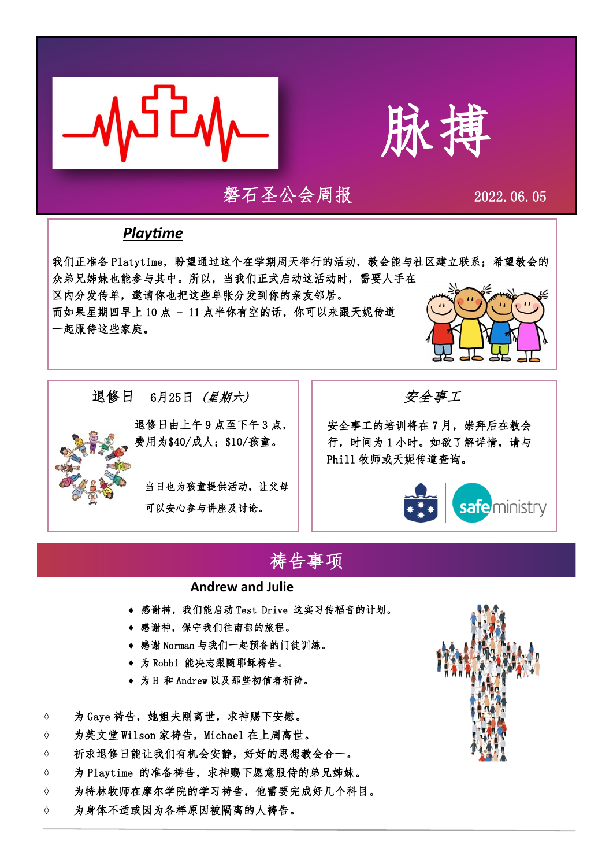



### 磐石圣公会周报 2022.06.05

#### *Playtime*

退修日6月25日 (星期六)

我们正准备 Platytime, 盼望通过这个在学期周天举行的活动, 教会能与社区建立联系; 希望教会的 众弟兄姊妹也能参与其中。所以,当我们正式启动这活动时,需要人手在

区内分发传单,邀请你也把这些单张分发到你的亲友邻居。 而如果星期四早上 10 点 - 11 点半你有空的话,你可以来跟天妮传道

> 退修日由上午 9 点至下午 3 点, 费用为\$40/成人;\$10/孩童。

当日也为孩童提供活动,让父母

可以安心参与讲座及讨论。

一起服侍这些家庭。

安全事工

安全事工的培训将在 7 月,崇拜后在教会 行,时间为 1 小时。如欲了解详情,请与 Phill 牧师或天妮传道查询。



## 祷告事项

#### **Andrew and Julie**

- 感谢神,我们能启动 Test Drive 这实习传福音的计划。
- 感谢神,保守我们往南部的旅程。
- 感谢 Norman 与我们一起预备的门徒训练。
- 为 Robbi 能决志跟随耶稣祷告。
- 为 H 和 Andrew 以及那些初信者祈祷。
- ◇ 为 Gave 祷告, 她姐夫刚离世, 求神赐下安慰。
- 为英文堂 Wilson 家祷告,Michael 在上周离世。
- 祈求退修日能让我们有机会安静,好好的思想教会合一。
- ◇ 为 Playtime 的准备祷告, 求神赐下愿意服侍的弟兄姊妹。
- 为特林牧师在摩尔学院的学习祷告,他需要完成好几个科目。
- 为身体不适或因为各样原因被隔离的人祷告。